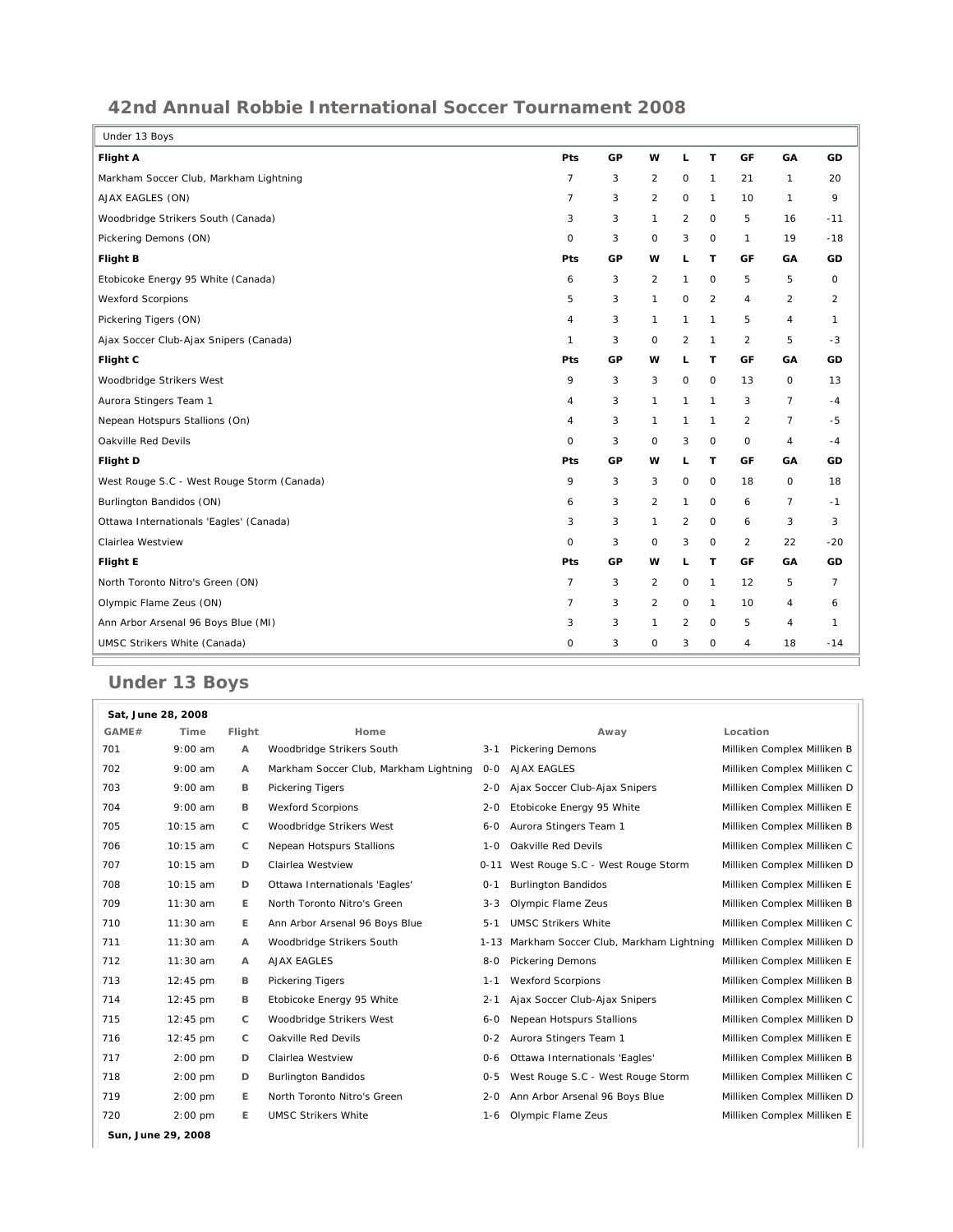## **42nd Annual Robbie International Soccer Tournament 2008**

| Under 13 Boys                              |                |    |                |                |                |                |                |                |
|--------------------------------------------|----------------|----|----------------|----------------|----------------|----------------|----------------|----------------|
| Flight A                                   | Pts            | GP | w              | L.             | T              | GF             | GA             | GD             |
| Markham Soccer Club, Markham Lightning     | $\overline{7}$ | 3  | $\overline{2}$ | 0              | $\mathbf{1}$   | 21             | 1              | 20             |
| AJAX EAGLES (ON)                           | $\overline{7}$ | 3  | $\overline{a}$ | 0              | $\mathbf{1}$   | 10             | 1              | 9              |
| Woodbridge Strikers South (Canada)         | 3              | 3  | $\mathbf{1}$   | $\overline{c}$ | $\circ$        | 5              | 16             | $-11$          |
| Pickering Demons (ON)                      | $\mathbf 0$    | 3  | $\circ$        | 3              | $\circ$        | $\mathbf{1}$   | 19             | $-18$          |
| <b>Flight B</b>                            | Pts            | GP | w              | L.             | T              | GF             | GA             | GD             |
| Etobicoke Energy 95 White (Canada)         | 6              | 3  | $\overline{2}$ | $\mathbf{1}$   | $\circ$        | 5              | 5              | 0              |
| <b>Wexford Scorpions</b>                   | 5              | 3  | 1              | $\mathsf O$    | $\overline{c}$ | 4              | $\overline{a}$ | $\overline{2}$ |
| Pickering Tigers (ON)                      | 4              | 3  | 1              | $\mathbf{1}$   | 1              | 5              | 4              | $\mathbf{1}$   |
| Ajax Soccer Club-Ajax Snipers (Canada)     | 1              | 3  | $\mathsf O$    | $\overline{c}$ | $\mathbf{1}$   | $\overline{c}$ | 5              | $-3$           |
| Flight C                                   | Pts            | GP | w              | L.             | т              | GF             | GA             | GD             |
| Woodbridge Strikers West                   | 9              | 3  | 3              | 0              | $\circ$        | 13             | 0              | 13             |
| Aurora Stingers Team 1                     | 4              | 3  | $\mathbf{1}$   | $\mathbf{1}$   | $\mathbf{1}$   | 3              | $\overline{7}$ | $-4$           |
| Nepean Hotspurs Stallions (On)             | 4              | 3  | 1              | $\mathbf{1}$   | $\mathbf{1}$   | $\overline{2}$ | $\overline{7}$ | $-5$           |
| Oakville Red Devils                        | $\mathbf 0$    | 3  | 0              | 3              | $\mathsf O$    | 0              | 4              | -4             |
| Flight D                                   | Pts            | GP | w              | L              | т              | GF             | GA             | GD             |
| West Rouge S.C - West Rouge Storm (Canada) | 9              | 3  | 3              | 0              | $\circ$        | 18             | O              | 18             |
| Burlington Bandidos (ON)                   | 6              | 3  | $\overline{2}$ | $\mathbf{1}$   | $\circ$        | 6              | 7              | $-1$           |
| Ottawa Internationals 'Eagles' (Canada)    | 3              | 3  | $\mathbf{1}$   | 2              | $\circ$        | 6              | 3              | 3              |
| Clairlea Westview                          | $\mathbf 0$    | 3  | 0              | 3              | $\mathsf O$    | $\overline{2}$ | 22             | $-20$          |
| <b>Flight E</b>                            | Pts            | GP | w              | L              | т              | GF             | GA             | GD             |
| North Toronto Nitro's Green (ON)           | $\overline{7}$ | 3  | $\overline{2}$ | 0              | $\mathbf{1}$   | 12             | 5              | $\overline{7}$ |
| Olympic Flame Zeus (ON)                    | $\overline{7}$ | 3  | $\overline{a}$ | 0              | $\mathbf{1}$   | 10             | 4              | 6              |
| Ann Arbor Arsenal 96 Boys Blue (MI)        | 3              | 3  | $\mathbf{1}$   | $\overline{c}$ | $\circ$        | 5              | 4              | $\mathbf{1}$   |
| UMSC Strikers White (Canada)               | 0              | 3  | 0              | 3              | $\circ$        | 4              | 18             | $-14$          |

## **Under 13 Boys**

|       | Sat. June 28, 2008 |        |                                        |          |                                             |                             |
|-------|--------------------|--------|----------------------------------------|----------|---------------------------------------------|-----------------------------|
| GAME# | Time               | Flight | Home                                   |          | Away                                        | Location                    |
| 701   | $9:00$ am          | А      | Woodbridge Strikers South              | $3 - 1$  | <b>Pickering Demons</b>                     | Milliken Complex Milliken B |
| 702   | $9:00$ am          | A      | Markham Soccer Club, Markham Lightning | $O-O$    | <b>AJAX EAGLES</b>                          | Milliken Complex Milliken C |
| 703   | $9:00$ am          | в      | <b>Pickering Tigers</b>                | $2 - 0$  | Ajax Soccer Club-Ajax Snipers               | Milliken Complex Milliken D |
| 704   | $9:00$ am          | в      | <b>Wexford Scorpions</b>               | $2 - 0$  | Etobicoke Energy 95 White                   | Milliken Complex Milliken E |
| 705   | 10:15 am           | С      | Woodbridge Strikers West               | $6 - 0$  | Aurora Stingers Team 1                      | Milliken Complex Milliken B |
| 706   | 10:15 am           | С      | Nepean Hotspurs Stallions              | $1 - 0$  | Oakville Red Devils                         | Milliken Complex Milliken C |
| 707   | 10:15 am           | D      | Clairlea Westview                      | $0 - 11$ | West Rouge S.C - West Rouge Storm           | Milliken Complex Milliken D |
| 708   | 10:15 am           | D      | Ottawa Internationals 'Eagles'         | $O - 1$  | <b>Burlington Bandidos</b>                  | Milliken Complex Milliken E |
| 709   | $11:30$ am         | Е      | North Toronto Nitro's Green            | $3 - 3$  | Olympic Flame Zeus                          | Milliken Complex Milliken B |
| 710   | 11:30 am           | Е      | Ann Arbor Arsenal 96 Boys Blue         | $5 - 1$  | <b>UMSC Strikers White</b>                  | Milliken Complex Milliken C |
| 711   | 11:30 am           | А      | Woodbridge Strikers South              |          | 1-13 Markham Soccer Club, Markham Lightning | Milliken Complex Milliken D |
| 712   | $11:30$ am         | A      | <b>AJAX EAGLES</b>                     | $8 - 0$  | <b>Pickering Demons</b>                     | Milliken Complex Milliken E |
| 713   | $12:45$ pm         | в      | <b>Pickering Tigers</b>                | $1 - 1$  | <b>Wexford Scorpions</b>                    | Milliken Complex Milliken B |
| 714   | $12:45$ pm         | в      | Etobicoke Energy 95 White              | $2 - 1$  | Ajax Soccer Club-Ajax Snipers               | Milliken Complex Milliken C |
| 715   | $12:45$ pm         | С      | Woodbridge Strikers West               | $6 - 0$  | <b>Nepean Hotspurs Stallions</b>            | Milliken Complex Milliken D |
| 716   | 12:45 pm           | С      | Oakville Red Devils                    | $0 - 2$  | Aurora Stingers Team 1                      | Milliken Complex Milliken E |
| 717   | $2:00$ pm          | D      | Clairlea Westview                      | $O - 6$  | Ottawa Internationals 'Eagles'              | Milliken Complex Milliken B |
| 718   | $2:00$ pm          | D      | <b>Burlington Bandidos</b>             | $O - 5$  | West Rouge S.C - West Rouge Storm           | Milliken Complex Milliken C |
| 719   | $2:00$ pm          | Е      | North Toronto Nitro's Green            | $2 - 0$  | Ann Arbor Arsenal 96 Boys Blue              | Milliken Complex Milliken D |
| 720   | $2:00$ pm          | Е      | <b>UMSC Strikers White</b>             | 1-6      | Olympic Flame Zeus                          | Milliken Complex Milliken E |
|       | Sun, June 29, 2008 |        |                                        |          |                                             |                             |
|       |                    |        |                                        |          |                                             |                             |